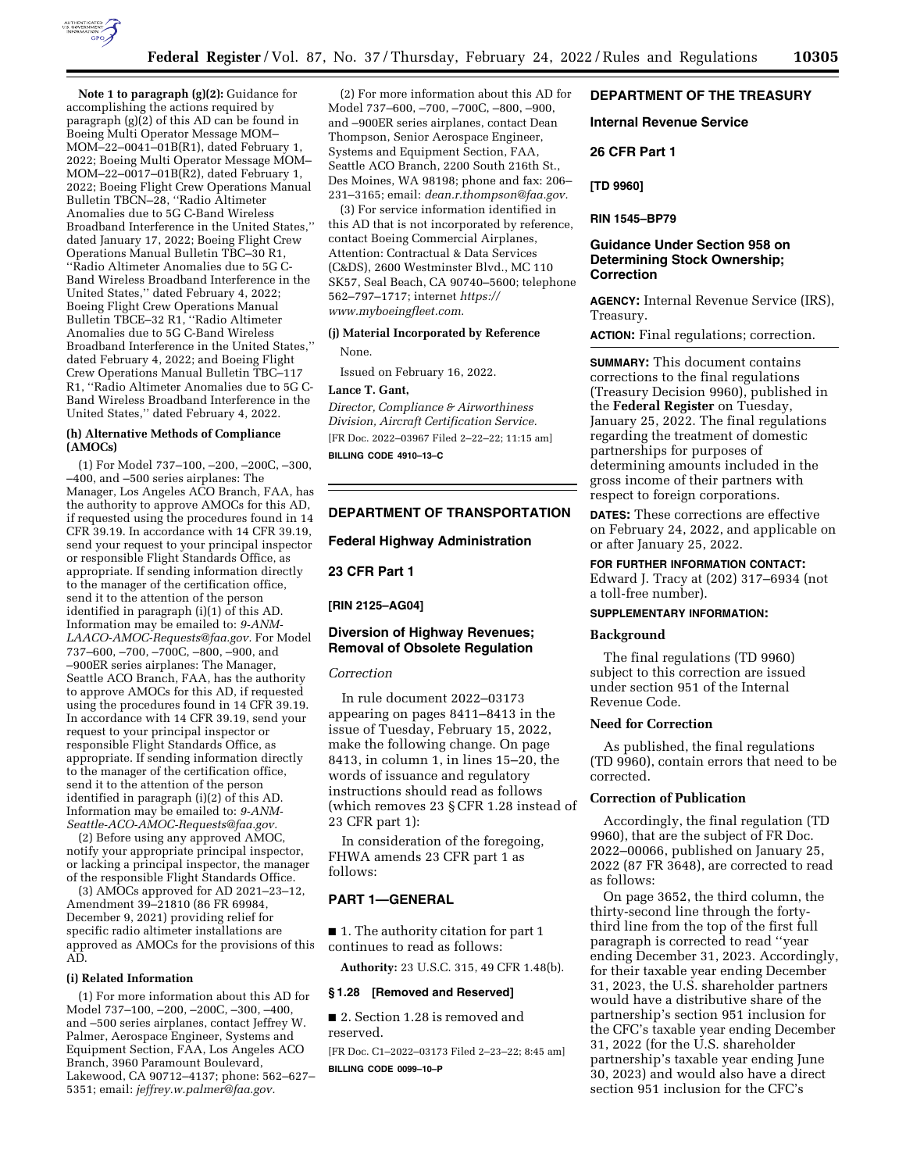

**Note 1 to paragraph (g)(2):** Guidance for accomplishing the actions required by paragraph (g)(2) of this AD can be found in Boeing Multi Operator Message MOM– MOM–22–0041–01B(R1), dated February 1, 2022; Boeing Multi Operator Message MOM– MOM–22–0017–01B(R2), dated February 1, 2022; Boeing Flight Crew Operations Manual Bulletin TBCN–28, ''Radio Altimeter Anomalies due to 5G C-Band Wireless Broadband Interference in the United States,'' dated January 17, 2022; Boeing Flight Crew Operations Manual Bulletin TBC–30 R1, ''Radio Altimeter Anomalies due to 5G C-Band Wireless Broadband Interference in the United States,'' dated February 4, 2022; Boeing Flight Crew Operations Manual Bulletin TBCE–32 R1, ''Radio Altimeter Anomalies due to 5G C-Band Wireless Broadband Interference in the United States,'' dated February 4, 2022; and Boeing Flight Crew Operations Manual Bulletin TBC–117 R1, ''Radio Altimeter Anomalies due to 5G C-Band Wireless Broadband Interference in the United States,'' dated February 4, 2022.

#### **(h) Alternative Methods of Compliance (AMOCs)**

(1) For Model 737–100, –200, –200C, –300, –400, and –500 series airplanes: The Manager, Los Angeles ACO Branch, FAA, has the authority to approve AMOCs for this AD, if requested using the procedures found in 14 CFR 39.19. In accordance with 14 CFR 39.19, send your request to your principal inspector or responsible Flight Standards Office, as appropriate. If sending information directly to the manager of the certification office, send it to the attention of the person identified in paragraph (i)(1) of this AD. Information may be emailed to: *[9-ANM-](mailto:9-ANM-LAACO-AMOC-Requests@faa.gov)[LAACO-AMOC-Requests@faa.gov.](mailto:9-ANM-LAACO-AMOC-Requests@faa.gov)* For Model 737–600, –700, –700C, –800, –900, and –900ER series airplanes: The Manager, Seattle ACO Branch, FAA, has the authority to approve AMOCs for this AD, if requested using the procedures found in 14 CFR 39.19. In accordance with 14 CFR 39.19, send your request to your principal inspector or responsible Flight Standards Office, as appropriate. If sending information directly to the manager of the certification office, send it to the attention of the person identified in paragraph (i)(2) of this AD. Information may be emailed to: *[9-ANM-](mailto:9-ANM-Seattle-ACO-AMOC-Requests@faa.gov)[Seattle-ACO-AMOC-Requests@faa.gov.](mailto:9-ANM-Seattle-ACO-AMOC-Requests@faa.gov)* 

(2) Before using any approved AMOC, notify your appropriate principal inspector, or lacking a principal inspector, the manager of the responsible Flight Standards Office.

(3) AMOCs approved for AD 2021–23–12, Amendment 39–21810 (86 FR 69984, December 9, 2021) providing relief for specific radio altimeter installations are approved as AMOCs for the provisions of this AD.

#### **(i) Related Information**

(1) For more information about this AD for Model 737–100, –200, –200C, –300, –400, and –500 series airplanes, contact Jeffrey W. Palmer, Aerospace Engineer, Systems and Equipment Section, FAA, Los Angeles ACO Branch, 3960 Paramount Boulevard, Lakewood, CA 90712–4137; phone: 562–627– 5351; email: *[jeffrey.w.palmer@faa.gov.](mailto:jeffrey.w.palmer@faa.gov)* 

(2) For more information about this AD for Model 737–600, –700, –700C, –800, –900, and –900ER series airplanes, contact Dean Thompson, Senior Aerospace Engineer, Systems and Equipment Section, FAA, Seattle ACO Branch, 2200 South 216th St., Des Moines, WA 98198; phone and fax: 206– 231–3165; email: *[dean.r.thompson@faa.gov.](mailto:dean.r.thompson@faa.gov)* 

(3) For service information identified in this AD that is not incorporated by reference, contact Boeing Commercial Airplanes, Attention: Contractual & Data Services (C&DS), 2600 Westminster Blvd., MC 110 SK57, Seal Beach, CA 90740–5600; telephone 562–797–1717; internet *[https://](https://www.myboeingfleet.com) [www.myboeingfleet.com.](https://www.myboeingfleet.com)* 

#### **(j) Material Incorporated by Reference**

None.

Issued on February 16, 2022.

## **Lance T. Gant,**

*Director, Compliance & Airworthiness Division, Aircraft Certification Service.*  [FR Doc. 2022–03967 Filed 2–22–22; 11:15 am]

**BILLING CODE 4910–13–C** 

## **DEPARTMENT OF TRANSPORTATION**

#### **Federal Highway Administration**

**23 CFR Part 1** 

#### **[RIN 2125–AG04]**

# **Diversion of Highway Revenues; Removal of Obsolete Regulation**

#### *Correction*

In rule document 2022–03173 appearing on pages 8411–8413 in the issue of Tuesday, February 15, 2022, make the following change. On page 8413, in column 1, in lines 15–20, the words of issuance and regulatory instructions should read as follows (which removes 23 § CFR 1.28 instead of 23 CFR part 1):

In consideration of the foregoing, FHWA amends 23 CFR part 1 as follows:

## **PART 1—GENERAL**

■ 1. The authority citation for part 1 continues to read as follows:

**Authority:** 23 U.S.C. 315, 49 CFR 1.48(b).

#### **§ 1.28 [Removed and Reserved]**

■ 2. Section 1.28 is removed and reserved.

[FR Doc. C1–2022–03173 Filed 2–23–22; 8:45 am] **BILLING CODE 0099–10–P** 

## **DEPARTMENT OF THE TREASURY**

**Internal Revenue Service** 

**26 CFR Part 1** 

**[TD 9960]** 

**RIN 1545–BP79** 

### **Guidance Under Section 958 on Determining Stock Ownership; Correction**

**AGENCY:** Internal Revenue Service (IRS), Treasury.

**ACTION:** Final regulations; correction.

**SUMMARY:** This document contains corrections to the final regulations (Treasury Decision 9960), published in the **Federal Register** on Tuesday, January 25, 2022. The final regulations regarding the treatment of domestic partnerships for purposes of determining amounts included in the gross income of their partners with respect to foreign corporations.

**DATES:** These corrections are effective on February 24, 2022, and applicable on or after January 25, 2022.

# **FOR FURTHER INFORMATION CONTACT:**

Edward J. Tracy at (202) 317–6934 (not a toll-free number).

#### **SUPPLEMENTARY INFORMATION:**

#### **Background**

The final regulations (TD 9960) subject to this correction are issued under section 951 of the Internal Revenue Code.

## **Need for Correction**

As published, the final regulations (TD 9960), contain errors that need to be corrected.

## **Correction of Publication**

Accordingly, the final regulation (TD 9960), that are the subject of FR Doc. 2022–00066, published on January 25, 2022 (87 FR 3648), are corrected to read as follows:

On page 3652, the third column, the thirty-second line through the fortythird line from the top of the first full paragraph is corrected to read ''year ending December 31, 2023. Accordingly, for their taxable year ending December 31, 2023, the U.S. shareholder partners would have a distributive share of the partnership's section 951 inclusion for the CFC's taxable year ending December 31, 2022 (for the U.S. shareholder partnership's taxable year ending June 30, 2023) and would also have a direct section 951 inclusion for the CFC's